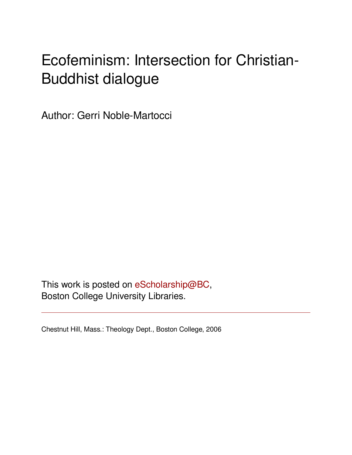# Ecofeminism: Intersection for Christian-Buddhist dialogue

Author: Gerri Noble-Martocci

This work is posted on [eScholarship@BC](http://escholarship.bc.edu), Boston College University Libraries.

Chestnut Hill, Mass.: Theology Dept., Boston College, 2006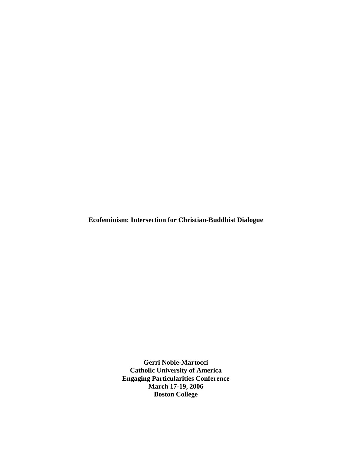**Ecofeminism: Intersection for Christian-Buddhist Dialogue** 

**Gerri Noble-Martocci Catholic University of America Engaging Particularities Conference March 17-19, 2006 Boston College**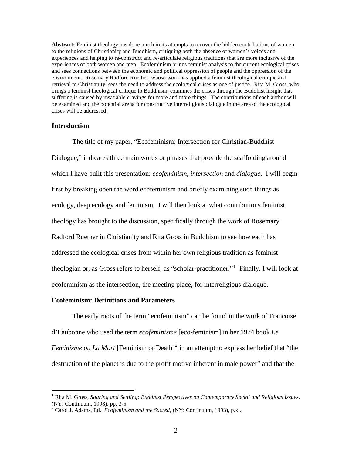**Abstract:** Feminist theology has done much in its attempts to recover the hidden contributions of women to the religions of Christianity and Buddhism, critiquing both the absence of women's voices and experiences and helping to re-construct and re-articulate religious traditions that are more inclusive of the experiences of both women and men. Ecofeminism brings feminist analysis to the current ecological crises and sees connections between the economic and political oppression of people and the oppression of the environment. Rosemary Radford Ruether, whose work has applied a feminist theological critique and retrieval to Christianity, sees the need to address the ecological crises as one of justice. Rita M. Gross, who brings a feminist theological critique to Buddhism, examines the crises through the Buddhist insight that suffering is caused by insatiable cravings for more and more things. The contributions of each author will be examined and the potential arena for constructive interreligious dialogue in the area of the ecological crises will be addressed.

## **Introduction**

 $\overline{a}$ 

The title of my paper, "Ecofeminism: Intersection for Christian-Buddhist Dialogue," indicates three main words or phrases that provide the scaffolding around which I have built this presentation: *ecofeminism*, *intersection* and *dialogue*. I will begin first by breaking open the word ecofeminism and briefly examining such things as ecology, deep ecology and feminism. I will then look at what contributions feminist theology has brought to the discussion, specifically through the work of Rosemary Radford Ruether in Christianity and Rita Gross in Buddhism to see how each has addressed the ecological crises from within her own religious tradition as feminist theologian or, as Gross refers to herself, as "scholar-practitioner."<sup>[1](#page-2-0)</sup> Finally, I will look at ecofeminism as the intersection, the meeting place, for interreligious dialogue.

## **Ecofeminism: Definitions and Parameters**

The early roots of the term "ecofeminism" can be found in the work of Francoise d'Eaubonne who used the term *ecofeminisme* [eco-feminism] in her 1974 book *Le Feminisme ou La Mort* [Feminism or Death]<sup>[2](#page-2-1)</sup> in an attempt to express her belief that "the destruction of the planet is due to the profit motive inherent in male power" and that the

<span id="page-2-0"></span><sup>&</sup>lt;sup>1</sup> Rita M. Gross, *Soaring and Settling: Buddhist Perspectives on Contemporary Social and Religious Issues,* (NY: Continuum, 1998), pp. 3-5.

<span id="page-2-1"></span><sup>2</sup> Carol J. Adams, Ed., *Ecofeminism and the Sacred,* (NY: Continuum, 1993), p.xi.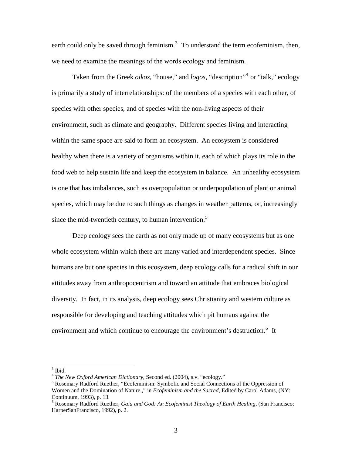earth could only be saved through feminism. $3$  To understand the term ecofeminism, then, we need to examine the meanings of the words ecology and feminism.

Taken from the Greek *oikos*, "house," and *logos*, "description"[4](#page-3-1) or "talk," ecology is primarily a study of interrelationships: of the members of a species with each other, of species with other species, and of species with the non-living aspects of their environment, such as climate and geography. Different species living and interacting within the same space are said to form an ecosystem. An ecosystem is considered healthy when there is a variety of organisms within it, each of which plays its role in the food web to help sustain life and keep the ecosystem in balance. An unhealthy ecosystem is one that has imbalances, such as overpopulation or underpopulation of plant or animal species, which may be due to such things as changes in weather patterns, or, increasingly since the mid-twentieth century, to human intervention.<sup>[5](#page-3-2)</sup>

Deep ecology sees the earth as not only made up of many ecosystems but as one whole ecosystem within which there are many varied and interdependent species. Since humans are but one species in this ecosystem, deep ecology calls for a radical shift in our attitudes away from anthropocentrism and toward an attitude that embraces biological diversity. In fact, in its analysis, deep ecology sees Christianity and western culture as responsible for developing and teaching attitudes which pit humans against the environment and which continue to encourage the environment's destruction.<sup>[6](#page-3-3)</sup> It

<span id="page-3-0"></span> $3$  Ibid.

<sup>4</sup> *The New Oxford American Dictionary*, Second ed. (2004), s.v. "ecology." 5

<span id="page-3-2"></span><span id="page-3-1"></span><sup>&</sup>lt;sup>5</sup> Rosemary Radford Ruether, "Ecofeminism: Symbolic and Social Connections of the Oppression of Women and the Domination of Nature,," in *Ecofeminism and the Sacred,* Edited by Carol Adams, (NY: Continuum, 1993), p. 13.

<span id="page-3-3"></span><sup>6</sup> Rosemary Radford Ruether, *Gaia and God: An Ecofeminist Theology of Earth Healing,* (San Francisco: HarperSanFrancisco, 1992), p. 2.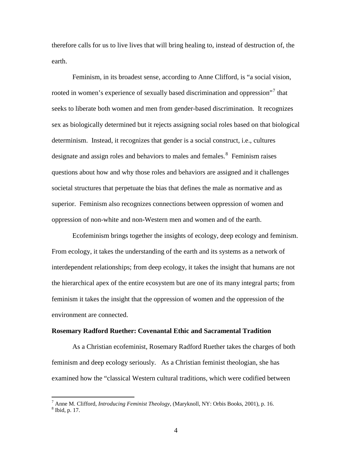therefore calls for us to live lives that will bring healing to, instead of destruction of, the earth.

Feminism, in its broadest sense, according to Anne Clifford, is "a social vision, rooted in women's experience of sexually based discrimination and oppression"<sup>[7](#page-4-0)</sup> that seeks to liberate both women and men from gender-based discrimination. It recognizes sex as biologically determined but it rejects assigning social roles based on that biological determinism. Instead, it recognizes that gender is a social construct, i.e., cultures designate and assign roles and behaviors to males and females.<sup>[8](#page-4-1)</sup> Feminism raises questions about how and why those roles and behaviors are assigned and it challenges societal structures that perpetuate the bias that defines the male as normative and as superior. Feminism also recognizes connections between oppression of women and oppression of non-white and non-Western men and women and of the earth.

Ecofeminism brings together the insights of ecology, deep ecology and feminism. From ecology, it takes the understanding of the earth and its systems as a network of interdependent relationships; from deep ecology, it takes the insight that humans are not the hierarchical apex of the entire ecosystem but are one of its many integral parts; from feminism it takes the insight that the oppression of women and the oppression of the environment are connected.

#### **Rosemary Radford Ruether: Covenantal Ethic and Sacramental Tradition**

As a Christian ecofeminist, Rosemary Radford Ruether takes the charges of both feminism and deep ecology seriously. As a Christian feminist theologian, she has examined how the "classical Western cultural traditions, which were codified between

<span id="page-4-1"></span><span id="page-4-0"></span><sup>&</sup>lt;sup>7</sup> Anne M. Clifford, *Introducing Feminist Theology*, (Maryknoll, NY: Orbis Books, 2001), p. 16. 8 Thid n. 17  $<sup>8</sup>$  Ibid, p. 17.</sup>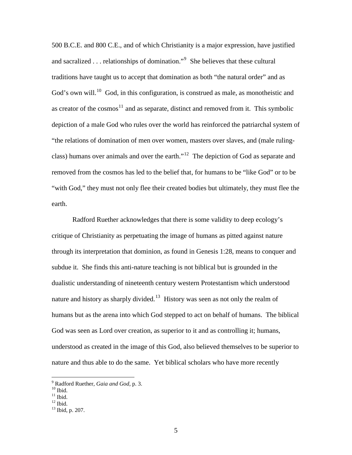500 B.C.E. and 800 C.E., and of which Christianity is a major expression, have justified and sacralized . . . relationships of domination."<sup>[9](#page-5-0)</sup> She believes that these cultural traditions have taught us to accept that domination as both "the natural order" and as God's own will.<sup>[10](#page-5-1)</sup> God, in this configuration, is construed as male, as monotheistic and as creator of the cosmos<sup>[11](#page-5-2)</sup> and as separate, distinct and removed from it. This symbolic depiction of a male God who rules over the world has reinforced the patriarchal system of "the relations of domination of men over women, masters over slaves, and (male ruling-class) humans over animals and over the earth."<sup>[12](#page-5-3)</sup> The depiction of God as separate and removed from the cosmos has led to the belief that, for humans to be "like God" or to be "with God," they must not only flee their created bodies but ultimately, they must flee the earth.

Radford Ruether acknowledges that there is some validity to deep ecology's critique of Christianity as perpetuating the image of humans as pitted against nature through its interpretation that dominion, as found in Genesis 1:28, means to conquer and subdue it. She finds this anti-nature teaching is not biblical but is grounded in the dualistic understanding of nineteenth century western Protestantism which understood nature and history as sharply divided.<sup>[13](#page-5-4)</sup> History was seen as not only the realm of humans but as the arena into which God stepped to act on behalf of humans. The biblical God was seen as Lord over creation, as superior to it and as controlling it; humans, understood as created in the image of this God, also believed themselves to be superior to nature and thus able to do the same. Yet biblical scholars who have more recently

<sup>&</sup>lt;sup>9</sup> Radford Ruether, *Gaia and God*, p. 3.<br><sup>10</sup> Ibid.

<span id="page-5-1"></span><span id="page-5-0"></span>

 $11$  Ibid.

<span id="page-5-3"></span><span id="page-5-2"></span> $^{12}$  Ibid.

<span id="page-5-4"></span><sup>13</sup> Ibid, p. 207.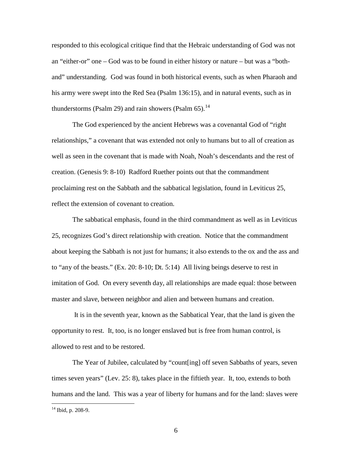responded to this ecological critique find that the Hebraic understanding of God was not an "either-or" one – God was to be found in either history or nature – but was a "bothand" understanding. God was found in both historical events, such as when Pharaoh and his army were swept into the Red Sea (Psalm 136:15), and in natural events, such as in thunderstorms (Psalm 29) and rain showers (Psalm  $65$ ).<sup>[14](#page-6-0)</sup>

The God experienced by the ancient Hebrews was a covenantal God of "right relationships," a covenant that was extended not only to humans but to all of creation as well as seen in the covenant that is made with Noah, Noah's descendants and the rest of creation. (Genesis 9: 8-10) Radford Ruether points out that the commandment proclaiming rest on the Sabbath and the sabbatical legislation, found in Leviticus 25, reflect the extension of covenant to creation.

The sabbatical emphasis, found in the third commandment as well as in Leviticus 25, recognizes God's direct relationship with creation. Notice that the commandment about keeping the Sabbath is not just for humans; it also extends to the ox and the ass and to "any of the beasts." (Ex. 20: 8-10; Dt. 5:14) All living beings deserve to rest in imitation of God. On every seventh day, all relationships are made equal: those between master and slave, between neighbor and alien and between humans and creation.

 It is in the seventh year, known as the Sabbatical Year, that the land is given the opportunity to rest. It, too, is no longer enslaved but is free from human control, is allowed to rest and to be restored.

The Year of Jubilee, calculated by "count[ing] off seven Sabbaths of years, seven times seven years" (Lev. 25: 8), takes place in the fiftieth year. It, too, extends to both humans and the land. This was a year of liberty for humans and for the land: slaves were

<span id="page-6-0"></span> $14$  Ibid, p. 208-9.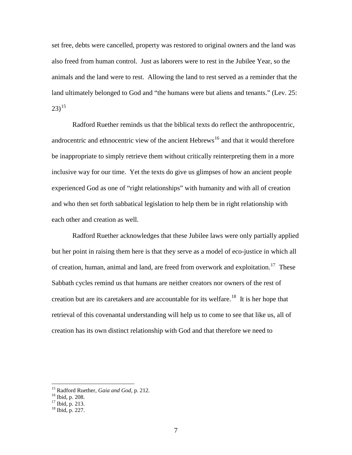set free, debts were cancelled, property was restored to original owners and the land was also freed from human control. Just as laborers were to rest in the Jubilee Year, so the animals and the land were to rest. Allowing the land to rest served as a reminder that the land ultimately belonged to God and "the humans were but aliens and tenants." (Lev. 25:  $(23)^{15}$  $(23)^{15}$  $(23)^{15}$ 

Radford Ruether reminds us that the biblical texts do reflect the anthropocentric, androcentric and ethnocentric view of the ancient  $Hebrew<sup>16</sup>$  $Hebrew<sup>16</sup>$  $Hebrew<sup>16</sup>$  and that it would therefore be inappropriate to simply retrieve them without critically reinterpreting them in a more inclusive way for our time. Yet the texts do give us glimpses of how an ancient people experienced God as one of "right relationships" with humanity and with all of creation and who then set forth sabbatical legislation to help them be in right relationship with each other and creation as well.

Radford Ruether acknowledges that these Jubilee laws were only partially applied but her point in raising them here is that they serve as a model of eco-justice in which all of creation, human, animal and land, are freed from overwork and exploitation.<sup>[17](#page-7-2)</sup> These Sabbath cycles remind us that humans are neither creators nor owners of the rest of creation but are its caretakers and are accountable for its welfare.<sup>[18](#page-7-3)</sup> It is her hope that retrieval of this covenantal understanding will help us to come to see that like us, all of creation has its own distinct relationship with God and that therefore we need to

<sup>&</sup>lt;sup>15</sup> Radford Ruether, *Gaia and God*, p. 212.<br><sup>16</sup> Ibid, p. 208.

<span id="page-7-2"></span><span id="page-7-1"></span><span id="page-7-0"></span> $^{16}$  Ibid, p. 208.<br> $^{17}$  Ibid, p. 213.

<span id="page-7-3"></span><sup>18</sup> Ibid, p. 227.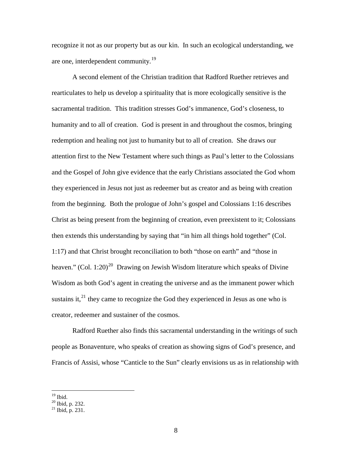recognize it not as our property but as our kin. In such an ecological understanding, we are one, interdependent community.[19](#page-8-0)

A second element of the Christian tradition that Radford Ruether retrieves and rearticulates to help us develop a spirituality that is more ecologically sensitive is the sacramental tradition. This tradition stresses God's immanence, God's closeness, to humanity and to all of creation. God is present in and throughout the cosmos, bringing redemption and healing not just to humanity but to all of creation. She draws our attention first to the New Testament where such things as Paul's letter to the Colossians and the Gospel of John give evidence that the early Christians associated the God whom they experienced in Jesus not just as redeemer but as creator and as being with creation from the beginning. Both the prologue of John's gospel and Colossians 1:16 describes Christ as being present from the beginning of creation, even preexistent to it; Colossians then extends this understanding by saying that "in him all things hold together" (Col. 1:17) and that Christ brought reconciliation to both "those on earth" and "those in heaven." (Col. 1:[20](#page-8-1))<sup>20</sup> Drawing on Jewish Wisdom literature which speaks of Divine Wisdom as both God's agent in creating the universe and as the immanent power which sustains it, $^{21}$  $^{21}$  $^{21}$  they came to recognize the God they experienced in Jesus as one who is creator, redeemer and sustainer of the cosmos.

Radford Ruether also finds this sacramental understanding in the writings of such people as Bonaventure, who speaks of creation as showing signs of God's presence, and Francis of Assisi, whose "Canticle to the Sun" clearly envisions us as in relationship with

<span id="page-8-0"></span> $\overline{a}$  $19$  Ibid.

 $20$  Ibid, p. 232.

<span id="page-8-2"></span><span id="page-8-1"></span> $^{21}$  Ibid, p. 231.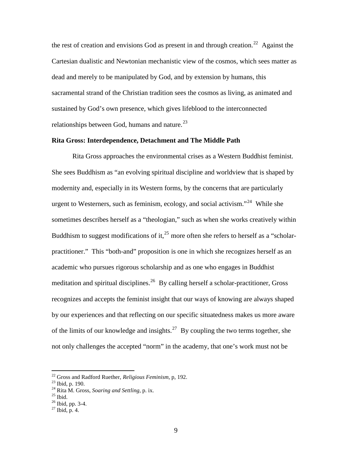the rest of creation and envisions God as present in and through creation.<sup>[22](#page-9-0)</sup> Against the Cartesian dualistic and Newtonian mechanistic view of the cosmos, which sees matter as dead and merely to be manipulated by God, and by extension by humans, this sacramental strand of the Christian tradition sees the cosmos as living, as animated and sustained by God's own presence, which gives lifeblood to the interconnected relationships between God, humans and nature. $^{23}$  $^{23}$  $^{23}$ 

# **Rita Gross: Interdependence, Detachment and The Middle Path**

 Rita Gross approaches the environmental crises as a Western Buddhist feminist. She sees Buddhism as "an evolving spiritual discipline and worldview that is shaped by modernity and, especially in its Western forms, by the concerns that are particularly urgent to Westerners, such as feminism, ecology, and social activism."<sup>[24](#page-9-2)</sup> While she sometimes describes herself as a "theologian," such as when she works creatively within Buddhism to suggest modifications of it,  $^{25}$  $^{25}$  $^{25}$  more often she refers to herself as a "scholarpractitioner." This "both-and" proposition is one in which she recognizes herself as an academic who pursues rigorous scholarship and as one who engages in Buddhist meditation and spiritual disciplines.<sup>[26](#page-9-4)</sup> By calling herself a scholar-practitioner, Gross recognizes and accepts the feminist insight that our ways of knowing are always shaped by our experiences and that reflecting on our specific situatedness makes us more aware of the limits of our knowledge and insights.<sup>[27](#page-9-5)</sup> By coupling the two terms together, she not only challenges the accepted "norm" in the academy, that one's work must not be

<span id="page-9-0"></span><sup>&</sup>lt;sup>22</sup> Gross and Radford Ruether, *Religious Feminism*, p, 192.<br><sup>23</sup> Ibid, p. 190.

<span id="page-9-1"></span><sup>&</sup>lt;sup>24</sup> Rita M. Gross, *Soaring and Settling*, p. ix.<br><sup>25</sup> Ibid.

<span id="page-9-4"></span><span id="page-9-3"></span><span id="page-9-2"></span>

 $^{26}$  Ibid, pp. 3-4.

<span id="page-9-5"></span> $^{27}$  Ibid, p. 4.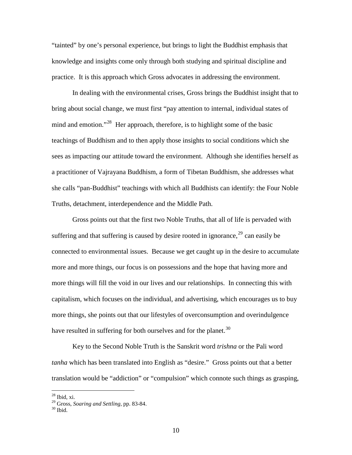"tainted" by one's personal experience, but brings to light the Buddhist emphasis that knowledge and insights come only through both studying and spiritual discipline and practice. It is this approach which Gross advocates in addressing the environment.

 In dealing with the environmental crises, Gross brings the Buddhist insight that to bring about social change, we must first "pay attention to internal, individual states of mind and emotion."<sup>[28](#page-10-0)</sup> Her approach, therefore, is to highlight some of the basic teachings of Buddhism and to then apply those insights to social conditions which she sees as impacting our attitude toward the environment. Although she identifies herself as a practitioner of Vajrayana Buddhism, a form of Tibetan Buddhism, she addresses what she calls "pan-Buddhist" teachings with which all Buddhists can identify: the Four Noble Truths, detachment, interdependence and the Middle Path.

 Gross points out that the first two Noble Truths, that all of life is pervaded with suffering and that suffering is caused by desire rooted in ignorance,  $29$  can easily be connected to environmental issues. Because we get caught up in the desire to accumulate more and more things, our focus is on possessions and the hope that having more and more things will fill the void in our lives and our relationships. In connecting this with capitalism, which focuses on the individual, and advertising, which encourages us to buy more things, she points out that our lifestyles of overconsumption and overindulgence have resulted in suffering for both ourselves and for the planet.<sup>[30](#page-10-2)</sup>

 Key to the Second Noble Truth is the Sanskrit word *trishna* or the Pali word *tanha* which has been translated into English as "desire." Gross points out that a better translation would be "addiction" or "compulsion" which connote such things as grasping,

<span id="page-10-0"></span> $^{28}$  Ibid, xi.

<span id="page-10-1"></span><sup>&</sup>lt;sup>29</sup> Gross, *Soaring and Settling, pp. 83-84.*<br><sup>30</sup> Ibid.

<span id="page-10-2"></span>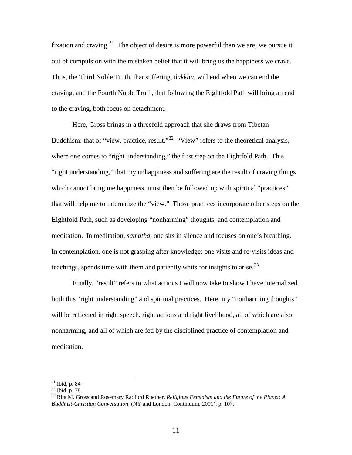fixation and craving.<sup>[31](#page-11-0)</sup> The object of desire is more powerful than we are; we pursue it out of compulsion with the mistaken belief that it will bring us the happiness we crave. Thus, the Third Noble Truth, that suffering, *dukkha,* will end when we can end the craving, and the Fourth Noble Truth, that following the Eightfold Path will bring an end to the craving, both focus on detachment.

 Here, Gross brings in a threefold approach that she draws from Tibetan Buddhism: that of "view, practice, result."<sup>[32](#page-11-1)</sup> "View" refers to the theoretical analysis, where one comes to "right understanding," the first step on the Eightfold Path. This "right understanding," that my unhappiness and suffering are the result of craving things which cannot bring me happiness, must then be followed up with spiritual "practices" that will help me to internalize the "view." Those practices incorporate other steps on the Eightfold Path, such as developing "nonharming" thoughts, and contemplation and meditation. In meditation, *samatha,* one sits in silence and focuses on one's breathing. In contemplation, one is not grasping after knowledge; one visits and re-visits ideas and teachings, spends time with them and patiently waits for insights to arise.<sup>[33](#page-11-2)</sup>

Finally, "result" refers to what actions I will now take to show I have internalized both this "right understanding" and spiritual practices. Here, my "nonharming thoughts" will be reflected in right speech, right actions and right livelihood, all of which are also nonharming, and all of which are fed by the disciplined practice of contemplation and meditation.

<span id="page-11-0"></span> $31$  Ibid, p. 84

 $32$  Ibid, p. 78.

<span id="page-11-2"></span><span id="page-11-1"></span><sup>33</sup> Rita M. Gross and Rosemary Radford Ruether, *Religious Feminism and the Future of the Planet: A Buddhist-Christian Conversation,* (NY and London: Continuum, 2001), p. 107.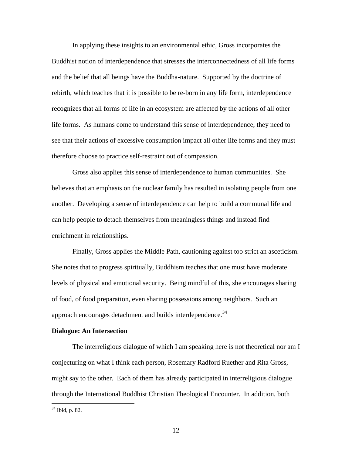In applying these insights to an environmental ethic, Gross incorporates the Buddhist notion of interdependence that stresses the interconnectedness of all life forms and the belief that all beings have the Buddha-nature. Supported by the doctrine of rebirth, which teaches that it is possible to be re-born in any life form, interdependence recognizes that all forms of life in an ecosystem are affected by the actions of all other life forms. As humans come to understand this sense of interdependence, they need to see that their actions of excessive consumption impact all other life forms and they must therefore choose to practice self-restraint out of compassion.

 Gross also applies this sense of interdependence to human communities. She believes that an emphasis on the nuclear family has resulted in isolating people from one another. Developing a sense of interdependence can help to build a communal life and can help people to detach themselves from meaningless things and instead find enrichment in relationships.

 Finally, Gross applies the Middle Path, cautioning against too strict an asceticism. She notes that to progress spiritually, Buddhism teaches that one must have moderate levels of physical and emotional security. Being mindful of this, she encourages sharing of food, of food preparation, even sharing possessions among neighbors. Such an approach encourages detachment and builds interdependence.<sup>[34](#page-12-0)</sup>

## **Dialogue: An Intersection**

The interreligious dialogue of which I am speaking here is not theoretical nor am I conjecturing on what I think each person, Rosemary Radford Ruether and Rita Gross, might say to the other. Each of them has already participated in interreligious dialogue through the International Buddhist Christian Theological Encounter. In addition, both

<span id="page-12-0"></span><sup>34</sup> Ibid, p. 82.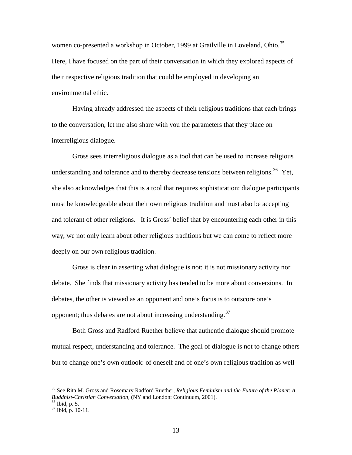women co-presented a workshop in October, 1999 at Grailville in Loveland, Ohio.<sup>[35](#page-13-0)</sup> Here, I have focused on the part of their conversation in which they explored aspects of their respective religious tradition that could be employed in developing an environmental ethic.

 Having already addressed the aspects of their religious traditions that each brings to the conversation, let me also share with you the parameters that they place on interreligious dialogue.

 Gross sees interreligious dialogue as a tool that can be used to increase religious understanding and tolerance and to thereby decrease tensions between religions.<sup>[36](#page-13-1)</sup> Yet, she also acknowledges that this is a tool that requires sophistication: dialogue participants must be knowledgeable about their own religious tradition and must also be accepting and tolerant of other religions. It is Gross' belief that by encountering each other in this way, we not only learn about other religious traditions but we can come to reflect more deeply on our own religious tradition.

 Gross is clear in asserting what dialogue is not: it is not missionary activity nor debate. She finds that missionary activity has tended to be more about conversions. In debates, the other is viewed as an opponent and one's focus is to outscore one's opponent; thus debates are not about increasing understanding.  $37$ 

 Both Gross and Radford Ruether believe that authentic dialogue should promote mutual respect, understanding and tolerance. The goal of dialogue is not to change others but to change one's own outlook: of oneself and of one's own religious tradition as well

<span id="page-13-0"></span><sup>35</sup> See Rita M. Gross and Rosemary Radford Ruether, *Religious Feminism and the Future of the Planet: A Buddhist-Christian Conversation,* (NY and London: Continuum, 2001). 36 Ibid, p. 5.

<span id="page-13-1"></span>

<span id="page-13-2"></span> $37$  Ibid, p. 10-11.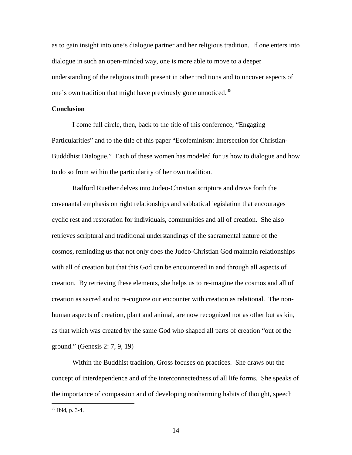as to gain insight into one's dialogue partner and her religious tradition. If one enters into dialogue in such an open-minded way, one is more able to move to a deeper understanding of the religious truth present in other traditions and to uncover aspects of one's own tradition that might have previously gone unnoticed.<sup>[38](#page-14-0)</sup>

# **Conclusion**

I come full circle, then, back to the title of this conference, "Engaging Particularities" and to the title of this paper "Ecofeminism: Intersection for Christian-Budddhist Dialogue." Each of these women has modeled for us how to dialogue and how to do so from within the particularity of her own tradition.

 Radford Ruether delves into Judeo-Christian scripture and draws forth the covenantal emphasis on right relationships and sabbatical legislation that encourages cyclic rest and restoration for individuals, communities and all of creation. She also retrieves scriptural and traditional understandings of the sacramental nature of the cosmos, reminding us that not only does the Judeo-Christian God maintain relationships with all of creation but that this God can be encountered in and through all aspects of creation. By retrieving these elements, she helps us to re-imagine the cosmos and all of creation as sacred and to re-cognize our encounter with creation as relational. The nonhuman aspects of creation, plant and animal, are now recognized not as other but as kin, as that which was created by the same God who shaped all parts of creation "out of the ground." (Genesis 2: 7, 9, 19)

 Within the Buddhist tradition, Gross focuses on practices. She draws out the concept of interdependence and of the interconnectedness of all life forms. She speaks of the importance of compassion and of developing nonharming habits of thought, speech

<span id="page-14-0"></span><sup>38</sup> Ibid, p. 3-4.